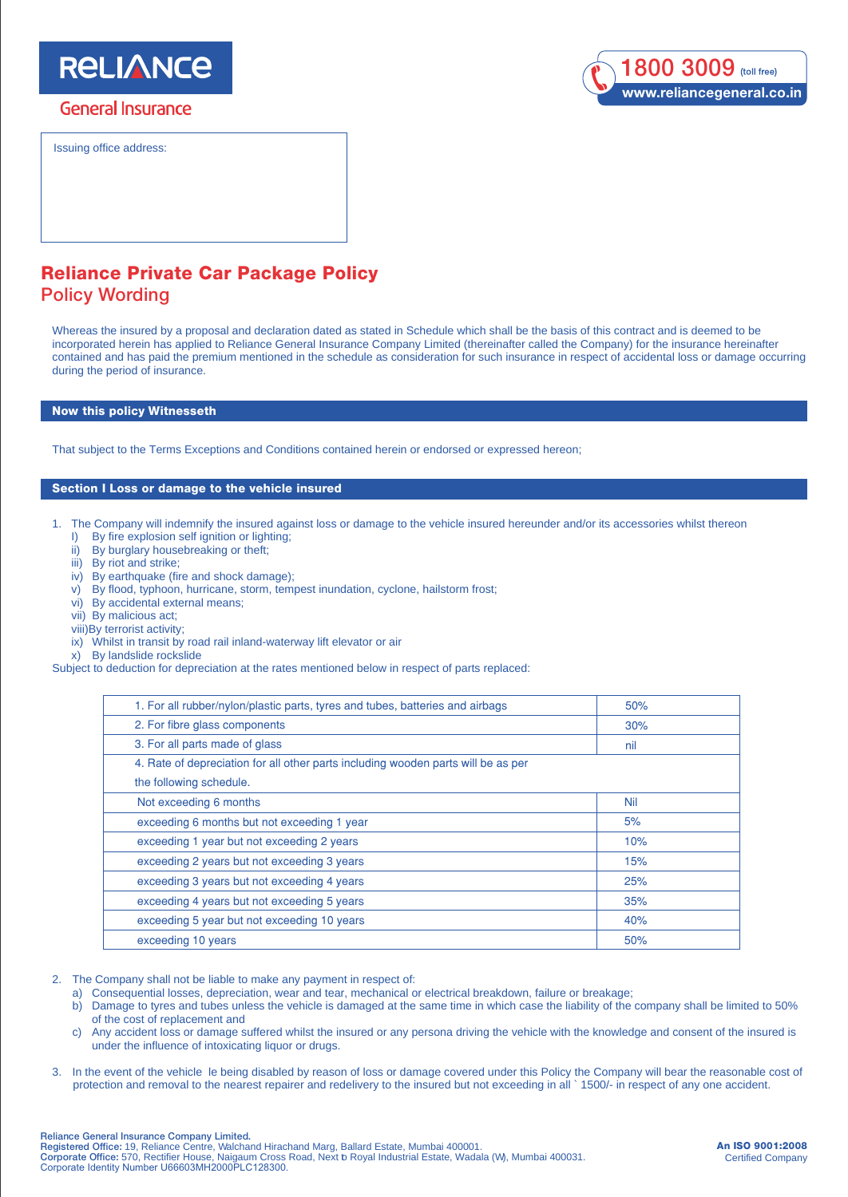# **RELIANCE**

## **General Insurance**

Issuing office address:



## Reliance Private Car Package Policy Policy Wording

Whereas the insured by a proposal and declaration dated as stated in Schedule which shall be the basis of this contract and is deemed to be incorporated herein has applied to Reliance General Insurance Company Limited (thereinafter called the Company) for the insurance hereinafter contained and has paid the premium mentioned in the schedule as consideration for such insurance in respect of accidental loss or damage occurring during the period of insurance.

## Now this policy Witnesseth

That subject to the Terms Exceptions and Conditions contained herein or endorsed or expressed hereon;

## Section I Loss or damage to the vehicle insured

1. The Company will indemnify the insured against loss or damage to the vehicle insured hereunder and/or its accessories whilst thereon I) By fire explosion self ignition or lighting;

- ii) By burglary housebreaking or theft;
- iii) By riot and strike;
- iv) By earthquake (fire and shock damage);
- v) By flood, typhoon, hurricane, storm, tempest inundation, cyclone, hailstorm frost;
- vi) By accidental external means;
- vii) By malicious act;
- viii)By terrorist activity;
- ix) Whilst in transit by road rail inland-waterway lift elevator or air
- x) By landslide rockslide

Subject to deduction for depreciation at the rates mentioned below in respect of parts replaced:

| 1. For all rubber/nylon/plastic parts, tyres and tubes, batteries and airbags     | 50% |
|-----------------------------------------------------------------------------------|-----|
| 2. For fibre glass components                                                     | 30% |
| 3. For all parts made of glass                                                    | nil |
| 4. Rate of depreciation for all other parts including wooden parts will be as per |     |
| the following schedule.                                                           |     |
| Not exceeding 6 months                                                            | Nil |
| exceeding 6 months but not exceeding 1 year                                       | 5%  |
| exceeding 1 year but not exceeding 2 years                                        | 10% |
| exceeding 2 years but not exceeding 3 years                                       | 15% |
| exceeding 3 years but not exceeding 4 years                                       | 25% |
| exceeding 4 years but not exceeding 5 years                                       | 35% |
| exceeding 5 year but not exceeding 10 years                                       | 40% |
| exceeding 10 years                                                                | 50% |
|                                                                                   |     |

- 2. The Company shall not be liable to make any payment in respect of:
	-
	- a) Consequential losses, depreciation, wear and tear, mechanical or electrical breakdown, failure or breakage;<br>b) Damage to tyres and tubes unless the vehicle is damaged at the same time in which case the liability of the b) Damage to tyres and tubes unless the vehicle is damaged at the same time in which case the liability of the company shall be limited to 50% of the cost of replacement and
	- c) Any accident loss or damage suffered whilst the insured or any persona driving the vehicle with the knowledge and consent of the insured is under the influence of intoxicating liquor or drugs.
- 3. In the event of the vehicle le being disabled by reason of loss or damage covered under this Policy the Company will bear the reasonable cost of protection and removal to the nearest repairer and redelivery to the insured but not exceeding in all ` 1500/- in respect of any one accident.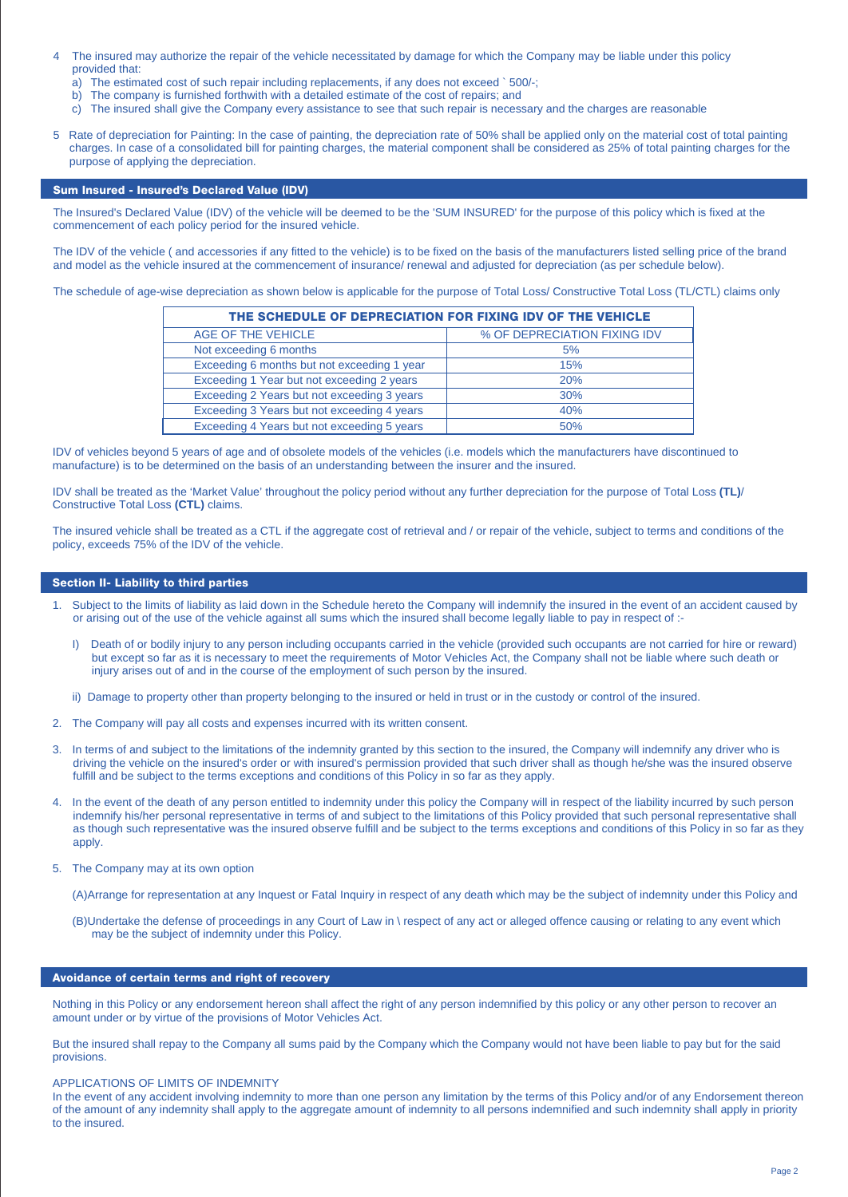- The insured may authorize the repair of the vehicle necessitated by damage for which the Company may be liable under this policy provided that:
	- a) The estimated cost of such repair including replacements, if any does not exceed ` 500/-;
	- b) The company is furnished forthwith with a detailed estimate of the cost of repairs; and
	- c) The insured shall give the Company every assistance to see that such repair is necessary and the charges are reasonable
- 5 Rate of depreciation for Painting: In the case of painting, the depreciation rate of 50% shall be applied only on the material cost of total painting charges. In case of a consolidated bill for painting charges, the material component shall be considered as 25% of total painting charges for the purpose of applying the depreciation.

## Sum Insured - Insured's Declared Value (IDV)

The Insured's Declared Value (IDV) of the vehicle will be deemed to be the 'SUM INSURED' for the purpose of this policy which is fixed at the commencement of each policy period for the insured vehicle.

The IDV of the vehicle ( and accessories if any fitted to the vehicle) is to be fixed on the basis of the manufacturers listed selling price of the brand and model as the vehicle insured at the commencement of insurance/ renewal and adjusted for depreciation (as per schedule below).

The schedule of age-wise depreciation as shown below is applicable for the purpose of Total Loss/ Constructive Total Loss (TL/CTL) claims only

| THE SCHEDULE OF DEPRECIATION FOR FIXING IDV OF THE VEHICLE |                              |  |
|------------------------------------------------------------|------------------------------|--|
| AGE OF THE VEHICLE                                         | % OF DEPRECIATION FIXING IDV |  |
| Not exceeding 6 months                                     | 5%                           |  |
| Exceeding 6 months but not exceeding 1 year                | 15%                          |  |
| Exceeding 1 Year but not exceeding 2 years                 | 20%                          |  |
| Exceeding 2 Years but not exceeding 3 years                | 30%                          |  |
| Exceeding 3 Years but not exceeding 4 years                | 40%                          |  |
| Exceeding 4 Years but not exceeding 5 years                | 50%                          |  |

IDV of vehicles beyond 5 years of age and of obsolete models of the vehicles (i.e. models which the manufacturers have discontinued to manufacture) is to be determined on the basis of an understanding between the insurer and the insured.

IDV shall be treated as the 'Market Value' throughout the policy period without any further depreciation for the purpose of Total Loss **(TL)**/ Constructive Total Loss **(CTL)** claims.

The insured vehicle shall be treated as a CTL if the aggregate cost of retrieval and / or repair of the vehicle, subject to terms and conditions of the policy, exceeds 75% of the IDV of the vehicle.

## Section II- Liability to third parties

- 1. Subject to the limits of liability as laid down in the Schedule hereto the Company will indemnify the insured in the event of an accident caused by or arising out of the use of the vehicle against all sums which the insured shall become legally liable to pay in respect of :-
	- I) Death of or bodily injury to any person including occupants carried in the vehicle (provided such occupants are not carried for hire or reward) but except so far as it is necessary to meet the requirements of Motor Vehicles Act, the Company shall not be liable where such death or injury arises out of and in the course of the employment of such person by the insured.
	- ii) Damage to property other than property belonging to the insured or held in trust or in the custody or control of the insured.
- 2. The Company will pay all costs and expenses incurred with its written consent.
- 3. In terms of and subject to the limitations of the indemnity granted by this section to the insured, the Company will indemnify any driver who is driving the vehicle on the insured's order or with insured's permission provided that such driver shall as though he/she was the insured observe fulfill and be subject to the terms exceptions and conditions of this Policy in so far as they apply.
- 4. In the event of the death of any person entitled to indemnity under this policy the Company will in respect of the liability incurred by such person indemnify his/her personal representative in terms of and subject to the limitations of this Policy provided that such personal representative shall as though such representative was the insured observe fulfill and be subject to the terms exceptions and conditions of this Policy in so far as they apply.
- 5. The Company may at its own option
	- (A)Arrange for representation at any Inquest or Fatal Inquiry in respect of any death which may be the subject of indemnity under this Policy and
	- (B)Undertake the defense of proceedings in any Court of Law in \ respect of any act or alleged offence causing or relating to any event which may be the subject of indemnity under this Policy.

## Avoidance of certain terms and right of recovery

Nothing in this Policy or any endorsement hereon shall affect the right of any person indemnified by this policy or any other person to recover an amount under or by virtue of the provisions of Motor Vehicles Act.

But the insured shall repay to the Company all sums paid by the Company which the Company would not have been liable to pay but for the said provisions.

## APPLICATIONS OF LIMITS OF INDEMNITY

In the event of any accident involving indemnity to more than one person any limitation by the terms of this Policy and/or of any Endorsement thereon of the amount of any indemnity shall apply to the aggregate amount of indemnity to all persons indemnified and such indemnity shall apply in priority to the insured.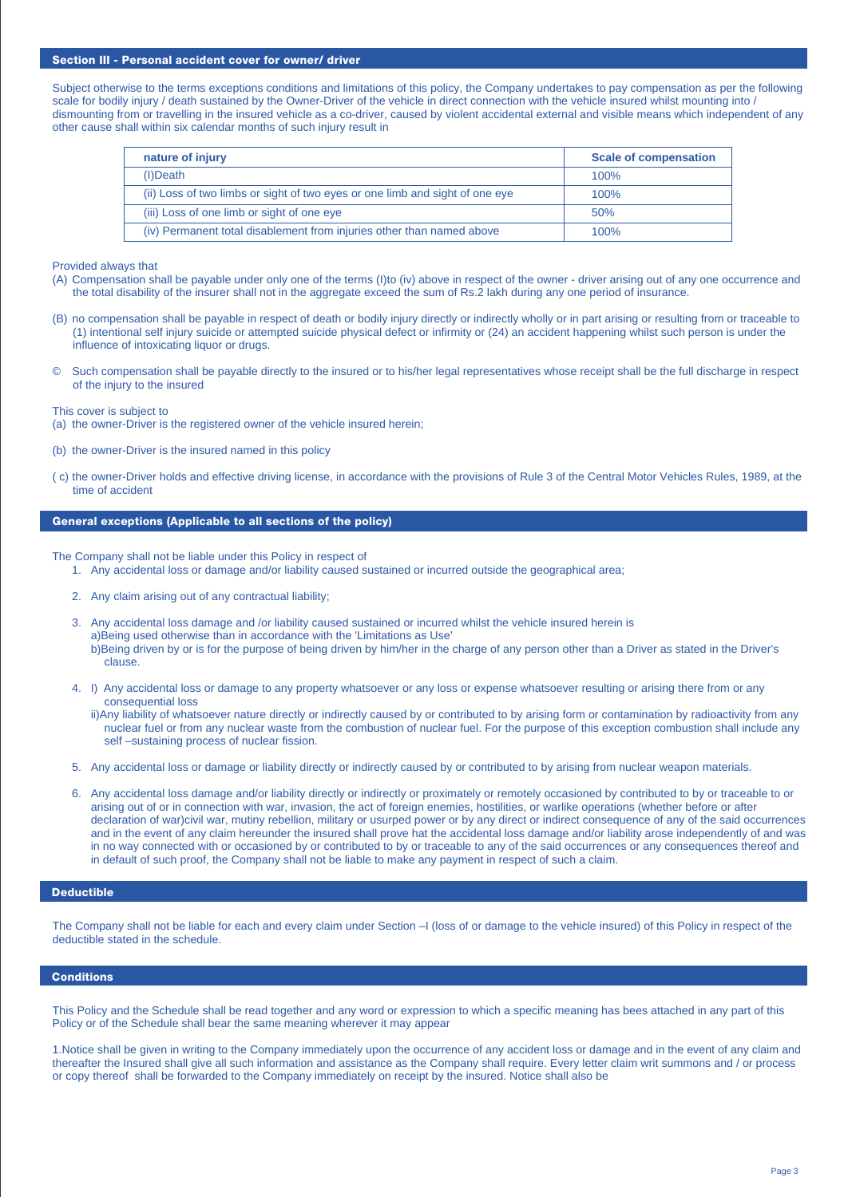## Section III - Personal accident cover for owner/ driver

Subject otherwise to the terms exceptions conditions and limitations of this policy, the Company undertakes to pay compensation as per the following scale for bodily injury / death sustained by the Owner-Driver of the vehicle in direct connection with the vehicle insured whilst mounting into / dismounting from or travelling in the insured vehicle as a co-driver, caused by violent accidental external and visible means which independent of any other cause shall within six calendar months of such injury result in

| nature of injury                                                             | <b>Scale of compensation</b> |
|------------------------------------------------------------------------------|------------------------------|
| $(I)$ Death                                                                  | $100\%$                      |
| (ii) Loss of two limbs or sight of two eyes or one limb and sight of one eye | 100%                         |
| (iii) Loss of one limb or sight of one eye                                   | 50%                          |
| (iv) Permanent total disablement from injuries other than named above        | $100\%$                      |

Provided always that

- (A) Compensation shall be payable under only one of the terms (I)to (iv) above in respect of the owner driver arising out of any one occurrence and the total disability of the insurer shall not in the aggregate exceed the sum of Rs.2 lakh during any one period of insurance.
- (B) no compensation shall be payable in respect of death or bodily injury directly or indirectly wholly or in part arising or resulting from or traceable to (1) intentional self injury suicide or attempted suicide physical defect or infirmity or (24) an accident happening whilst such person is under the influence of intoxicating liquor or drugs.
- © Such compensation shall be payable directly to the insured or to his/her legal representatives whose receipt shall be the full discharge in respect of the injury to the insured

This cover is subject to

- (a) the owner-Driver is the registered owner of the vehicle insured herein;
- (b) the owner-Driver is the insured named in this policy
- ( c) the owner-Driver holds and effective driving license, in accordance with the provisions of Rule 3 of the Central Motor Vehicles Rules, 1989, at the time of accident

## General exceptions (Applicable to all sections of the policy)

The Company shall not be liable under this Policy in respect of

- 1. Any accidental loss or damage and/or liability caused sustained or incurred outside the geographical area;
- 2. Any claim arising out of any contractual liability;
- 3. Any accidental loss damage and /or liability caused sustained or incurred whilst the vehicle insured herein is a)Being used otherwise than in accordance with the 'Limitations as Use' b)Being driven by or is for the purpose of being driven by him/her in the charge of any person other than a Driver as stated in the Driver's clause.
- 4. I) Any accidental loss or damage to any property whatsoever or any loss or expense whatsoever resulting or arising there from or any consequential loss
	- ii)Any liability of whatsoever nature directly or indirectly caused by or contributed to by arising form or contamination by radioactivity from any nuclear fuel or from any nuclear waste from the combustion of nuclear fuel. For the purpose of this exception combustion shall include any self –sustaining process of nuclear fission.
- 5. Any accidental loss or damage or liability directly or indirectly caused by or contributed to by arising from nuclear weapon materials.
- 6. Any accidental loss damage and/or liability directly or indirectly or proximately or remotely occasioned by contributed to by or traceable to or arising out of or in connection with war, invasion, the act of foreign enemies, hostilities, or warlike operations (whether before or after declaration of war)civil war, mutiny rebellion, military or usurped power or by any direct or indirect consequence of any of the said occurrences and in the event of any claim hereunder the insured shall prove hat the accidental loss damage and/or liability arose independently of and was in no way connected with or occasioned by or contributed to by or traceable to any of the said occurrences or any consequences thereof and in default of such proof, the Company shall not be liable to make any payment in respect of such a claim.

#### Deductible

The Company shall not be liable for each and every claim under Section –I (loss of or damage to the vehicle insured) of this Policy in respect of the deductible stated in the schedule.

## **Conditions**

This Policy and the Schedule shall be read together and any word or expression to which a specific meaning has bees attached in any part of this Policy or of the Schedule shall bear the same meaning wherever it may appear

1.Notice shall be given in writing to the Company immediately upon the occurrence of any accident loss or damage and in the event of any claim and thereafter the Insured shall give all such information and assistance as the Company shall require. Every letter claim writ summons and / or process or copy thereof shall be forwarded to the Company immediately on receipt by the insured. Notice shall also be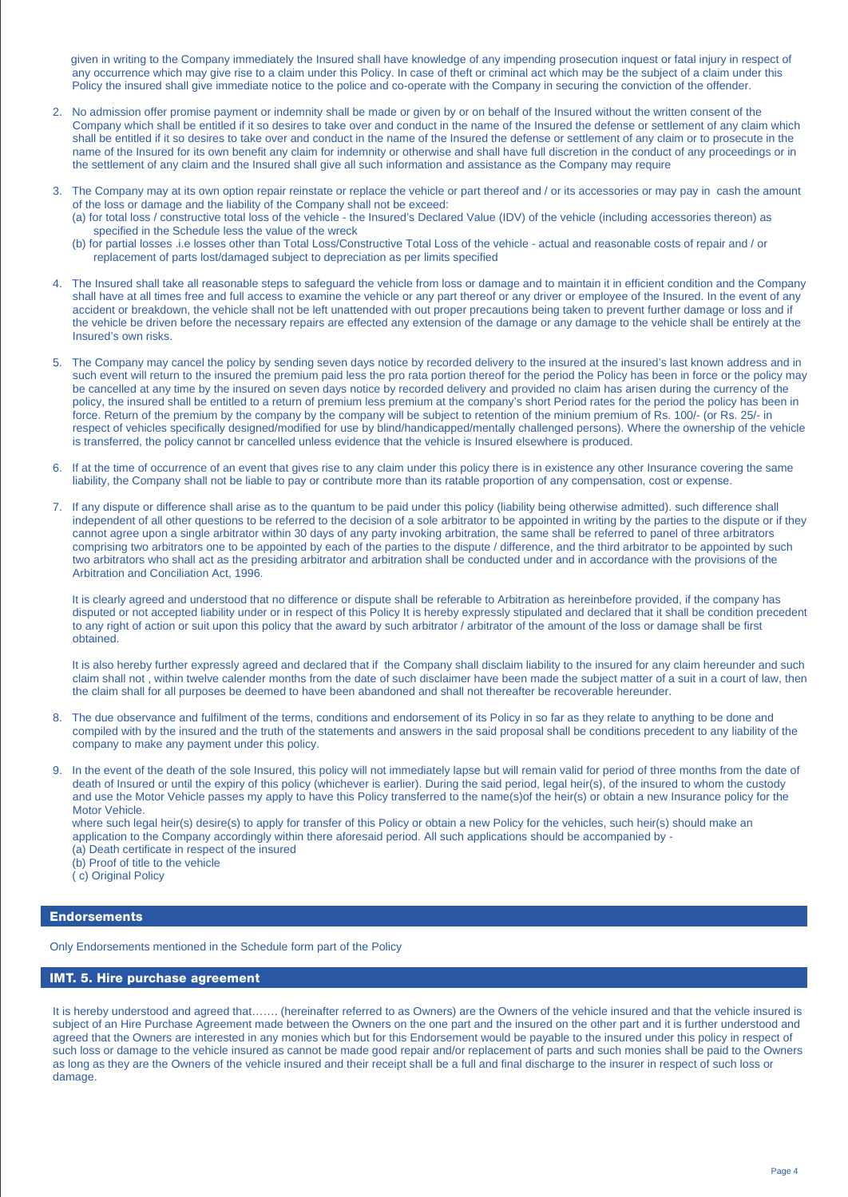given in writing to the Company immediately the Insured shall have knowledge of any impending prosecution inquest or fatal injury in respect of any occurrence which may give rise to a claim under this Policy. In case of theft or criminal act which may be the subject of a claim under this Policy the insured shall give immediate notice to the police and co-operate with the Company in securing the conviction of the offender.

- 2. No admission offer promise payment or indemnity shall be made or given by or on behalf of the Insured without the written consent of the Company which shall be entitled if it so desires to take over and conduct in the name of the Insured the defense or settlement of any claim which shall be entitled if it so desires to take over and conduct in the name of the Insured the defense or settlement of any claim or to prosecute in the name of the Insured for its own benefit any claim for indemnity or otherwise and shall have full discretion in the conduct of any proceedings or in the settlement of any claim and the Insured shall give all such information and assistance as the Company may require
- 3. The Company may at its own option repair reinstate or replace the vehicle or part thereof and / or its accessories or may pay in cash the amount of the loss or damage and the liability of the Company shall not be exceed:
	- (a) for total loss / constructive total loss of the vehicle the Insured's Declared Value (IDV) of the vehicle (including accessories thereon) as specified in the Schedule less the value of the wreck
	- (b) for partial losses .i.e losses other than Total Loss/Constructive Total Loss of the vehicle actual and reasonable costs of repair and / or replacement of parts lost/damaged subject to depreciation as per limits specified
- 4. The Insured shall take all reasonable steps to safeguard the vehicle from loss or damage and to maintain it in efficient condition and the Company shall have at all times free and full access to examine the vehicle or any part thereof or any driver or employee of the Insured. In the event of any accident or breakdown, the vehicle shall not be left unattended with out proper precautions being taken to prevent further damage or loss and if the vehicle be driven before the necessary repairs are effected any extension of the damage or any damage to the vehicle shall be entirely at the Insured's own risks.
- 5. The Company may cancel the policy by sending seven days notice by recorded delivery to the insured at the insured's last known address and in such event will return to the insured the premium paid less the pro rata portion thereof for the period the Policy has been in force or the policy may be cancelled at any time by the insured on seven days notice by recorded delivery and provided no claim has arisen during the currency of the policy, the insured shall be entitled to a return of premium less premium at the company's short Period rates for the period the policy has been in force. Return of the premium by the company by the company will be subject to retention of the minium premium of Rs. 100/- (or Rs. 25/- in respect of vehicles specifically designed/modified for use by blind/handicapped/mentally challenged persons). Where the ownership of the vehicle is transferred, the policy cannot br cancelled unless evidence that the vehicle is Insured elsewhere is produced.
- 6. If at the time of occurrence of an event that gives rise to any claim under this policy there is in existence any other Insurance covering the same liability, the Company shall not be liable to pay or contribute more than its ratable proportion of any compensation, cost or expense.
- 7. If any dispute or difference shall arise as to the quantum to be paid under this policy (liability being otherwise admitted). such difference shall independent of all other questions to be referred to the decision of a sole arbitrator to be appointed in writing by the parties to the dispute or if they cannot agree upon a single arbitrator within 30 days of any party invoking arbitration, the same shall be referred to panel of three arbitrators comprising two arbitrators one to be appointed by each of the parties to the dispute / difference, and the third arbitrator to be appointed by such two arbitrators who shall act as the presiding arbitrator and arbitration shall be conducted under and in accordance with the provisions of the Arbitration and Conciliation Act, 1996.

It is clearly agreed and understood that no difference or dispute shall be referable to Arbitration as hereinbefore provided, if the company has disputed or not accepted liability under or in respect of this Policy It is hereby expressly stipulated and declared that it shall be condition precedent to any right of action or suit upon this policy that the award by such arbitrator / arbitrator of the amount of the loss or damage shall be first obtained.

It is also hereby further expressly agreed and declared that if the Company shall disclaim liability to the insured for any claim hereunder and such claim shall not , within twelve calender months from the date of such disclaimer have been made the subject matter of a suit in a court of law, then the claim shall for all purposes be deemed to have been abandoned and shall not thereafter be recoverable hereunder.

- 8. The due observance and fulfilment of the terms, conditions and endorsement of its Policy in so far as they relate to anything to be done and compiled with by the insured and the truth of the statements and answers in the said proposal shall be conditions precedent to any liability of the company to make any payment under this policy.
- 9. In the event of the death of the sole Insured, this policy will not immediately lapse but will remain valid for period of three months from the date of death of Insured or until the expiry of this policy (whichever is earlier). During the said period, legal heir(s), of the insured to whom the custody and use the Motor Vehicle passes my apply to have this Policy transferred to the name(s)of the heir(s) or obtain a new Insurance policy for the Motor Vehicle.

where such legal heir(s) desire(s) to apply for transfer of this Policy or obtain a new Policy for the vehicles, such heir(s) should make an application to the Company accordingly within there aforesaid period. All such applications should be accompanied by -

(a) Death certificate in respect of the insured

(b) Proof of title to the vehicle

( c) Original Policy

## **Endorsements**

Only Endorsements mentioned in the Schedule form part of the Policy

## IMT. 5. Hire purchase agreement

It is hereby understood and agreed that……. (hereinafter referred to as Owners) are the Owners of the vehicle insured and that the vehicle insured is subject of an Hire Purchase Agreement made between the Owners on the one part and the insured on the other part and it is further understood and agreed that the Owners are interested in any monies which but for this Endorsement would be payable to the insured under this policy in respect of such loss or damage to the vehicle insured as cannot be made good repair and/or replacement of parts and such monies shall be paid to the Owners as long as they are the Owners of the vehicle insured and their receipt shall be a full and final discharge to the insurer in respect of such loss or damage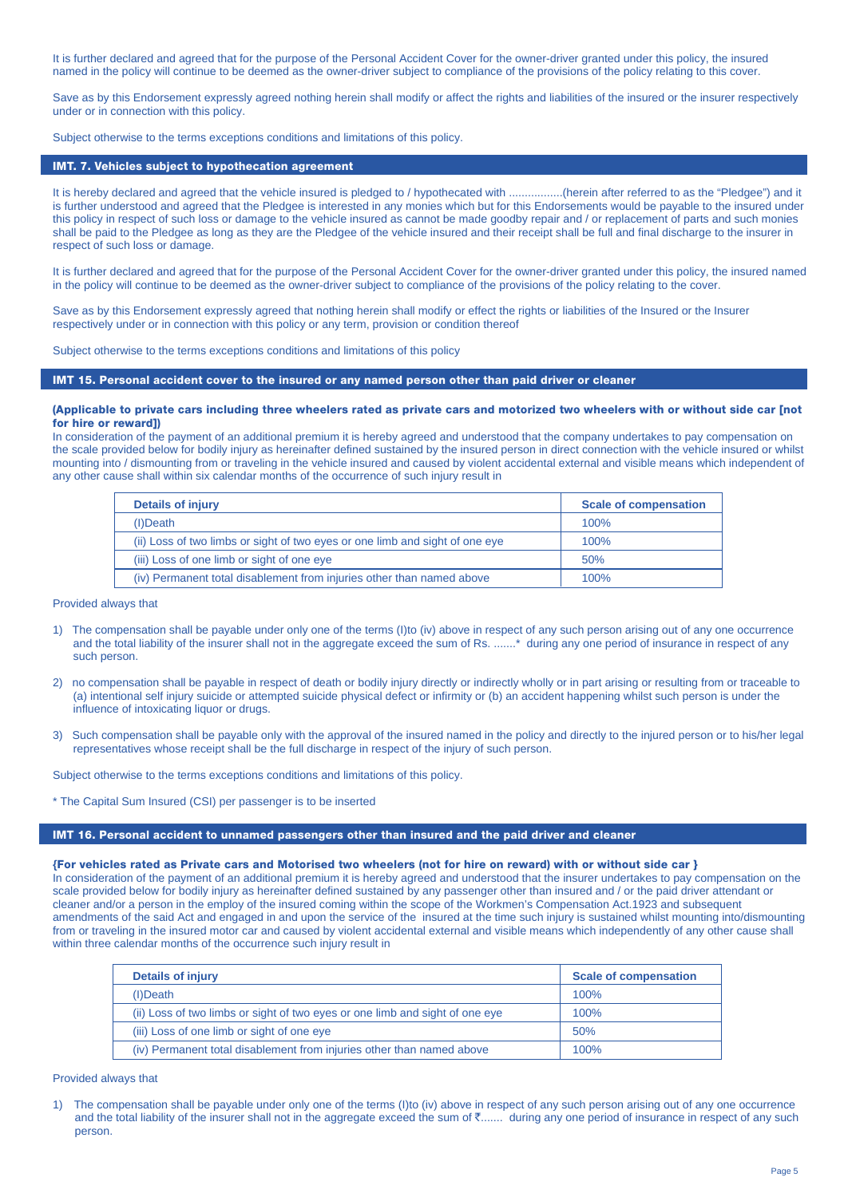It is further declared and agreed that for the purpose of the Personal Accident Cover for the owner-driver granted under this policy, the insured named in the policy will continue to be deemed as the owner-driver subject to compliance of the provisions of the policy relating to this cover.

Save as by this Endorsement expressly agreed nothing herein shall modify or affect the rights and liabilities of the insured or the insurer respectively under or in connection with this policy.

Subject otherwise to the terms exceptions conditions and limitations of this policy.

## IMT. 7. Vehicles subject to hypothecation agreement

It is hereby declared and agreed that the vehicle insured is pledged to / hypothecated with ..................(herein after referred to as the "Pledgee") and it is further understood and agreed that the Pledgee is interested in any monies which but for this Endorsements would be payable to the insured under this policy in respect of such loss or damage to the vehicle insured as cannot be made goodby repair and / or replacement of parts and such monies shall be paid to the Pledgee as long as they are the Pledgee of the vehicle insured and their receipt shall be full and final discharge to the insurer in respect of such loss or damage.

It is further declared and agreed that for the purpose of the Personal Accident Cover for the owner-driver granted under this policy, the insured named in the policy will continue to be deemed as the owner-driver subject to compliance of the provisions of the policy relating to the cover.

Save as by this Endorsement expressly agreed that nothing herein shall modify or effect the rights or liabilities of the Insured or the Insurer respectively under or in connection with this policy or any term, provision or condition thereof

Subject otherwise to the terms exceptions conditions and limitations of this policy

#### IMT 15. Personal accident cover to the insured or any named person other than paid driver or cleaner

#### (Applicable to private cars including three wheelers rated as private cars and motorized two wheelers with or without side car [not for hire or reward])

In consideration of the payment of an additional premium it is hereby agreed and understood that the company undertakes to pay compensation on the scale provided below for bodily injury as hereinafter defined sustained by the insured person in direct connection with the vehicle insured or whilst mounting into / dismounting from or traveling in the vehicle insured and caused by violent accidental external and visible means which independent of any other cause shall within six calendar months of the occurrence of such injury result in

| <b>Details of injury</b>                                                     | <b>Scale of compensation</b> |
|------------------------------------------------------------------------------|------------------------------|
| (I)Death                                                                     | 100%                         |
| (ii) Loss of two limbs or sight of two eyes or one limb and sight of one eye | 100%                         |
| (iii) Loss of one limb or sight of one eye                                   | 50%                          |
| (iv) Permanent total disablement from injuries other than named above        | 100%                         |

#### Provided always that

- 1) The compensation shall be payable under only one of the terms (I)to (iv) above in respect of any such person arising out of any one occurrence and the total liability of the insurer shall not in the aggregate exceed the sum of Rs. .......\* during any one period of insurance in respect of any such person.
- 2) no compensation shall be payable in respect of death or bodily injury directly or indirectly wholly or in part arising or resulting from or traceable to (a) intentional self injury suicide or attempted suicide physical defect or infirmity or (b) an accident happening whilst such person is under the influence of intoxicating liquor or drugs.
- 3) Such compensation shall be payable only with the approval of the insured named in the policy and directly to the injured person or to his/her legal representatives whose receipt shall be the full discharge in respect of the injury of such person.

Subject otherwise to the terms exceptions conditions and limitations of this policy.

\* The Capital Sum Insured (CSI) per passenger is to be inserted

## IMT 16. Personal accident to unnamed passengers other than insured and the paid driver and cleaner

#### **{**For vehicles rated as Private cars and Motorised two wheelers (not for hire on reward) with or without side car }

In consideration of the payment of an additional premium it is hereby agreed and understood that the insurer undertakes to pay compensation on the scale provided below for bodily injury as hereinafter defined sustained by any passenger other than insured and / or the paid driver attendant or cleaner and/or a person in the employ of the insured coming within the scope of the Workmen's Compensation Act.1923 and subsequent amendments of the said Act and engaged in and upon the service of the insured at the time such injury is sustained whilst mounting into/dismounting from or traveling in the insured motor car and caused by violent accidental external and visible means which independently of any other cause shall within three calendar months of the occurrence such injury result in

| Details of injury                                                            | <b>Scale of compensation</b> |
|------------------------------------------------------------------------------|------------------------------|
| (I)Death                                                                     | 100%                         |
| (ii) Loss of two limbs or sight of two eyes or one limb and sight of one eye | 100%                         |
| (iii) Loss of one limb or sight of one eye                                   | 50%                          |
| (iv) Permanent total disablement from injuries other than named above        | 100%                         |

#### Provided always that

1) The compensation shall be payable under only one of the terms (I)to (iv) above in respect of any such person arising out of any one occurrence and the total liability of the insurer shall not in the aggregate exceed the sum of  $\bar{z}$ ....... during any one period of insurance in respect of any such person.